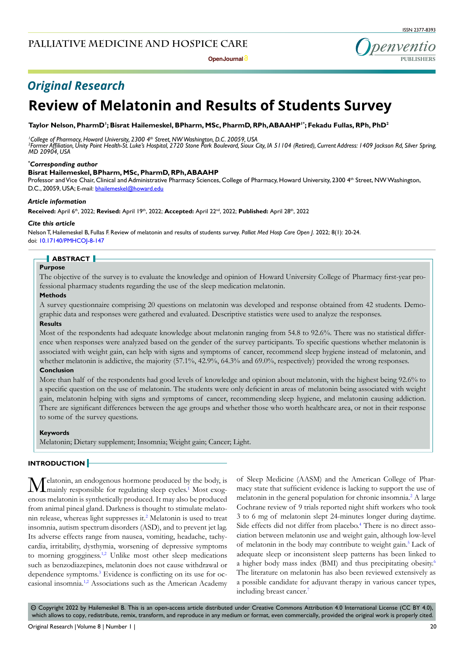**Open Journal**

ISSN 2377-8393

penventic **PUBLISHERS**

# *Original Research*

# **Review of Melatonin and Results of Students Survey**

Taylor Nelson, PharmD<sup>ı</sup>; Bisrat Hailemeskel, BPharm, MSc, PharmD, RPh, ABAAHP<sup>ı •</sup>; Fekadu Fullas, RPh, PhD<sup>2</sup>

<sup>1</sup> College of Pharmacy, Howard University, 2300 4<sup>th</sup> Street, NW Washington, D.C. 20059, USA<br><sup>2</sup>Former Affiliation, Unity Point Health St. Luke's Hospital, 2720 Stone Park Roulevard, Sjoux ( *Former Affiliation, Unity Point Health-St. Luke's Hospital, 2720 Stone Park Boulevard, Sioux City, IA 51104 (Retired), Current Address: 1409 Jackson Rd, Silver Spring, MD 20904, USA*

#### *\* Corresponding author*

#### **Bisrat Hailemeskel, BPharm, MSc, PharmD, RPh, ABAAHP**

Professor and Vice Chair, Clinical and Administrative Pharmacy Sciences, College of Pharmacy, Howard University, 2300 4<sup>th</sup> Street, NW Washington, D.C., 20059, USA; E-mail: bhailemeskel@howard.edu

#### *Article information*

**Received:** April 6th, 2022; **Revised:** April 19th, 2022; **Accepted:** April 22nd, 2022; **Published:** April 28th, 2022

#### *Cite this article*

Nelson T, Hailemeskel B, Fullas F. Review of melatonin and results of students survey. *Palliat Med Hosp Care Open J*. 2022; 8(1): 20-24. doi: [10.17140/PMHCOJ-8-147](http://dx.doi.org/10.17140/PMHCOJ-8-147)

# **ABSTRACT**

# **Purpose**

The objective of the survey is to evaluate the knowledge and opinion of Howard University College of Pharmacy first-year professional pharmacy students regarding the use of the sleep medication melatonin.

#### **Methods**

A survey questionnaire comprising 20 questions on melatonin was developed and response obtained from 42 students. Demographic data and responses were gathered and evaluated. Descriptive statistics were used to analyze the responses.

#### **Results**

Most of the respondents had adequate knowledge about melatonin ranging from 54.8 to 92.6%. There was no statistical difference when responses were analyzed based on the gender of the survey participants. To specific questions whether melatonin is associated with weight gain, can help with signs and symptoms of cancer, recommend sleep hygiene instead of melatonin, and whether melatonin is addictive, the majority (57.1%, 42.9%, 64.3% and 69.0%, respectively) provided the wrong responses. **Conclusion**

More than half of the respondents had good levels of knowledge and opinion about melatonin, with the highest being 92.6% to a specific question on the use of melatonin. The students were only deficient in areas of melatonin being associated with weight gain, melatonin helping with signs and symptoms of cancer, recommending sleep hygiene, and melatonin causing addiction. There are significant differences between the age groups and whether those who worth healthcare area, or not in their response to some of the survey questions.

#### **Keywords**

Melatonin; Dietary supplement; Insomnia; Weight gain; Cancer; Light.

#### **INTRODUCTION**

 $M$ elatonin, an endogenous hormone produced b[y](#page-4-0) the body, is mainly responsible for regulating sleep cycles.<sup>1</sup> Most exogenous melatonin is synthetically produced. It may also be produced from animal pineal gland. Darkness is thought to stimulate melato-nin release, whereas light suppresses it.<sup>[2](#page-4-1)</sup> Melatonin is used to treat insomnia, autism spectrum disorders (ASD), and to prevent jet lag. Its adverse effects range from nausea, vomiting, headache, tachycardia, irritability, dysthymia, worsening of depressive symptoms to morning grogginess.<sup>1,2</sup> Unlike most other sleep medications such as benzodiazepines, melatonin does not cause withdrawal or dependence symptoms.<sup>[3](#page-4-2)</sup> Evidence is conflicting on its use for occasional insomnia[.1,2](#page-4-0) Associations such as the American Academy

of Sleep Medicine (AASM) and the American College of Pharmacy state that sufficient evidence is lacking to support the use of melatonin in the general population for chronic insomnia.<sup>[2](#page-4-1)</sup> A large Cochrane review of 9 trials reported night shift workers who took 3 to 6 mg of melatonin slept 24-minutes longer during daytime. Side effects did not differ from placebo.<sup>[4](#page-4-3)</sup> There is no direct association between melatonin use and weight gain, although low-level of melatonin in the body may contribute to weight gain.<sup>[5](#page-4-4)</sup> Lack of adequate sleep or inconsistent sleep patterns has been linked to a higher body mass index (BMI) and thus precipitating obesity.<sup>[6](#page-4-5)</sup> The literature on melatonin has also been reviewed extensively as a possible candidate for adjuvant therapy in various cancer types, including breast cancer.<sup>7</sup>

 $\circledcirc$  Copyright 2022 by Hailemeskel B. This is an open-access article distributed under Creative Commons Attribution 4.0 International License ([CC BY 4.0\)](https://creativecommons.org/licenses/by/4.0/), which allows to copy, redistribute, remix, transform, and reproduce in any medium or format, even commercially, provided the original work is properly cited.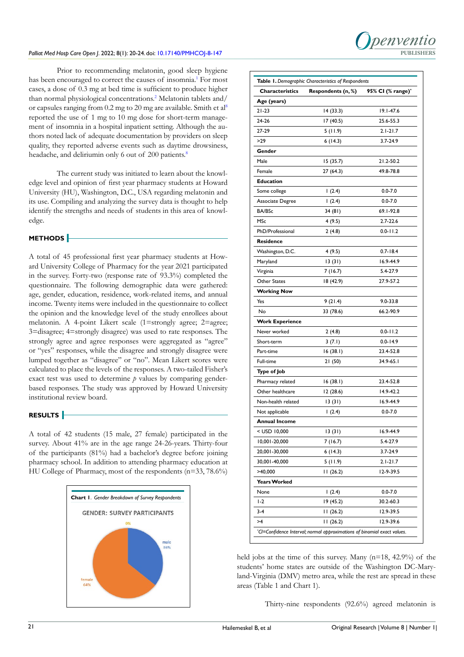## *Palliat Med Hosp Care Open J*. 2022; 8(1): 20-24. doi: [10.17140/PMHCOJ-8-147](http://dx.doi.org/10.17140/PMHCOJ-8-147) **PUBLISHERS**

Prior to recommending melatonin, good sleep hygiene has been encouraged to correct the causes of insomnia.<sup>[1](#page-4-0)</sup> For most cases, a dose of 0.3 mg at bed time is sufficient to produce higher than normal physiological concentrations.<sup>2</sup> Melatonin tablets and/ or capsules ranging from  $0.2$  mg to  $20$  mg are available. Smith et al<sup>8</sup> reported the use of 1 mg to 10 mg dose for short-term management of insomnia in a hospital inpatient setting. Although the authors noted lack of adequate documentation by providers on sleep quality, they reported adverse events such as daytime drowsiness, headache, and deliriumin only 6 out of 200 patients.<sup>8</sup>

The current study was initiated to learn about the knowledge level and opinion of first year pharmacy students at Howard University (HU), Washington, D.C., USA regarding melatonin and its use. Compiling and analyzing the survey data is thought to help identify the strengths and needs of students in this area of knowledge.

# **METHODS**

A total of 45 professional first year pharmacy students at Howard University College of Pharmacy for the year 2021 participated in the survey. Forty-two (response rate of 93.3%) completed the questionnaire. The following demographic data were gathered: age, gender, education, residence, work-related items, and annual income. Twenty items were included in the questionnaire to collect the opinion and the knowledge level of the study enrollees about melatonin. A 4-point Likert scale (1=strongly agree; 2=agree; 3=disagree; 4=strongly disagree) was used to rate responses. The strongly agree and agree responses were aggregated as "agree" or "yes" responses, while the disagree and strongly disagree were lumped together as "disagree" or "no". Mean Likert scores were calculated to place the levels of the responses. A two-tailed Fisher's exact test was used to determine *p* values by comparing genderbased responses. The study was approved by Howard University institutional review board.

# **RESULTS**

A total of 42 students (15 male, 27 female) participated in the survey. About 41% are in the age range 24-26-years. Thirty-four of the participants (81%) had a bachelor's degree before joining pharmacy school. In addition to attending pharmacy education at HU College of Pharmacy, most of the respondents (n=33, 78.6%)



|                        | Table 1. Demographic Characteristics of Respondents |                               |  |  |
|------------------------|-----------------------------------------------------|-------------------------------|--|--|
| Characteristics        | Respondents (n, %)                                  | 95% CI (% range) <sup>*</sup> |  |  |
| Age (years)            |                                                     |                               |  |  |
| 21-23                  | 14 (33.3)                                           | 19.1-47.6                     |  |  |
| 24-26                  | 17(40.5)                                            | 25.6-55.3                     |  |  |
| 27-29                  | 5 (11.9)                                            | $2.1 - 21.7$                  |  |  |
| >29                    | 6 (14.3)                                            | 3.7-24.9                      |  |  |
| Gender                 |                                                     |                               |  |  |
| Male                   | 15 (35.7)                                           | 21.2-50.2                     |  |  |
| Female                 | 27(64.3)                                            | 49.8-78.8                     |  |  |
| Education              |                                                     |                               |  |  |
| Some college           | 1(2.4)                                              | $0.0 - 7.0$                   |  |  |
| Associate Degree       | 1(2.4)                                              | $0.0 - 7.0$                   |  |  |
| BA/BSc                 | 34 (81)                                             | 69.1-92.8                     |  |  |
| MSc                    | 4 (9.5)                                             | 2.7-22.6                      |  |  |
| PhD/Professional       | 2(4.8)                                              | $0.0 - 11.2$                  |  |  |
| Residence              |                                                     |                               |  |  |
| Washington, D.C.       | 4 (9.5)                                             | $0.7 - 18.4$                  |  |  |
| Maryland               | 13(31)                                              | 16.9-44.9                     |  |  |
| Virginia               | 7(16.7)                                             | 5.4-27.9                      |  |  |
| Other States           | 18 (42.9)                                           | 27.9-57.2                     |  |  |
| <b>Working Now</b>     |                                                     |                               |  |  |
| Yes                    | 9(21.4)                                             | $9.0 - 33.8$                  |  |  |
| No                     | 33 (78.6)                                           | 66.2-90.9                     |  |  |
| <b>Work Experience</b> |                                                     |                               |  |  |
| Never worked           | 2(4.8)                                              | $0.0 - 11.2$                  |  |  |
| Short-term             | 3(7.1)                                              | $0.0 - 14.9$                  |  |  |
| Part-time              | 16(38.1)                                            | 23.4-52.8                     |  |  |
| Full-time              | 21 (50)                                             | 34.9-65.1                     |  |  |
| Type of Job            |                                                     |                               |  |  |
| Pharmacy related       | 16 (38.I)                                           | 23.4-52.8                     |  |  |
| Other healthcare       | 12 (28.6)                                           | 14.9-42.2                     |  |  |
| Non-health related     | 13 (31)                                             | 16.9-44.9                     |  |  |
| Not applicable         | 1(2.4)                                              | $0.0 - 7.0$                   |  |  |
| <b>Annual Income</b>   |                                                     |                               |  |  |
| < USD 10,000           | 13(31)                                              | 16.9-44.9                     |  |  |
| 10,001-20,000          | 7 (16.7)                                            | 5.4-27.9                      |  |  |
| 20,001-30,000          | 6(14.3)                                             | $3.7 - 24.9$                  |  |  |
| 30,001-40,000          | 5 (11.9)                                            | $2.1 - 21.7$                  |  |  |
| >40,000                | 11(26.2)                                            | 12-9-39.5                     |  |  |
| <b>Years Worked</b>    |                                                     |                               |  |  |
| None                   | 1(2.4)                                              | 0.0-7.0                       |  |  |
| $1-2$                  | 19 (45.2)                                           | 30.2-60.3                     |  |  |
| $3 - 4$                | 11 (26.2)                                           | 12.9-39.5                     |  |  |
| >4                     | 11(26.2)                                            | 12.9-39.6                     |  |  |
|                        |                                                     |                               |  |  |

renven

held jobs at the time of this survey. Many (n=18, 42.9%) of the students' home states are outside of the Washington DC-Maryland-Virginia (DMV) metro area, while the rest are spread in these areas (Table 1 and Chart 1).

*\* CI=Confidence Interval; normal approximations of binomial exact values.*

Thirty-nine respondents (92.6%) agreed melatonin is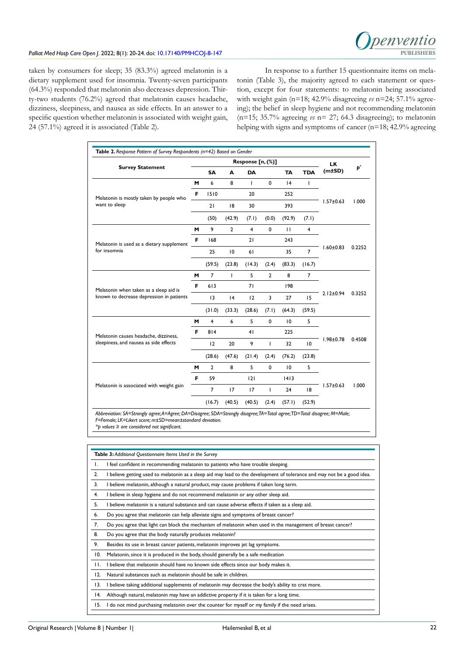

# Palliat Med Hosp Care Open J. 2022; 8(1): 20-24. doi: [10.17140/PMHCOJ-8-147](http://dx.doi.org/10.17140/PMHCOJ-8-147) **PUBLISHERS**

taken by consumers for sleep; 35 (83.3%) agreed melatonin is a dietary supplement used for insomnia. Twenty-seven participants (64.3%) responded that melatonin also decreases depression. Thirty-two students (76.2%) agreed that melatonin causes headache, dizziness, sleepiness, and nausea as side effects. In an answer to a specific question whether melatonin is associated with weight gain, 24 (57.1%) agreed it is associated (Table 2).

In response to a further 15 questionnaire items on melatonin (Table 3), the majority agreed to each statement or question, except for four statements: to melatonin being associated with weight gain (n=18; 42.9% disagreeing *vs* n=24; 57.1% agreeing); the belief in sleep hygiene and not recommending melatonin (n=15; 35.7% agreeing *vs* n= 27; 64.3 disagreeing); to melatonin helping with signs and symptoms of cancer (n=18; 42.9% agreeing

| <b>Survey Statement</b>                                                            |    | Response [n, (%)] |                |                |                |           | <b>LK</b>               |                 |        |
|------------------------------------------------------------------------------------|----|-------------------|----------------|----------------|----------------|-----------|-------------------------|-----------------|--------|
|                                                                                    |    | <b>SA</b>         | A              | DA             |                | <b>TA</b> | <b>TDA</b>              | (m±SD)          | Þ,     |
|                                                                                    | M  | 6                 | 8              | т              | $\mathbf 0$    | 4         | T                       |                 | 1.000  |
| Melatonin is mostly taken by people who<br>want to sleep                           | F  | 1510              |                | 20             |                | 252       |                         | $1.57 \pm 0.63$ |        |
|                                                                                    |    | 21                | 18             | 30             |                | 393       |                         |                 |        |
|                                                                                    |    | (50)              | (42.9)         | (7.1)          | (0.0)          | (92.9)    | (7.1)                   |                 |        |
|                                                                                    | м  | 9                 | $\overline{2}$ | $\overline{4}$ | 0              | П         | $\overline{\mathbf{4}}$ | $1.60 \pm 0.83$ | 0.2252 |
| Melatonin is used as a dietary supplement                                          | F  | 168               |                | 21             |                | 243       |                         |                 |        |
| for insomnia                                                                       |    | 25                | 10             | 61             |                | 35        | 7                       |                 |        |
|                                                                                    |    | (59.5)            | (23.8)         | (14.3)         | (2.4)          | (83.3)    | (16.7)                  |                 |        |
|                                                                                    | м  | $\overline{7}$    | T              | 5              | $\overline{2}$ | 8         | 7                       | $2.12 \pm 0.94$ | 0.3252 |
| Melatonin when taken as a sleep aid is<br>known to decrease depression in patients | F  | 613               |                | 71             |                | 198       |                         |                 |        |
|                                                                                    |    | 13                | 4              | 12             | 3              | 27        | 15                      |                 |        |
|                                                                                    |    | (31.0)            | (33.3)         | (28.6)         | (7.1)          | (64.3)    | (59.5)                  |                 |        |
|                                                                                    | м  | $\overline{4}$    | 6              | 5              | $\mathbf 0$    | 10        | 5                       | $1.98 \pm 0.78$ | 0.4508 |
| Melatonin causes headache, dizziness,<br>sleepiness, and nausea as side effects    | F  | 814               |                | 41             |                | 225       |                         |                 |        |
|                                                                                    |    | 12                | 20             | 9              | T              | 32        | 10                      |                 |        |
|                                                                                    |    | (28.6)            | (47.6)         | (21.4)         | (2.4)          | (76.2)    | (23.8)                  |                 |        |
|                                                                                    | м  | $\overline{2}$    | 8              | 5              | $\mathbf 0$    | 10        | 5                       |                 |        |
|                                                                                    | F. | 59                |                | 2              |                | 1413      |                         |                 |        |
| Melatonin is associated with weight gain                                           |    | 7                 | 17             | 17             | T              | 24        | 18                      | $1.57 \pm 0.63$ | 1.000  |
|                                                                                    |    | (16.7)            | (40.5)         | (40.5)         | (2.4)          | (57.1)    | (52.9)                  |                 |        |

*\*p values ≥ are considered not significant.*

|                | Table 3: Additional Questionnaire Items Used in the Survey                                                              |
|----------------|-------------------------------------------------------------------------------------------------------------------------|
| Τ.             | I feel confident in recommending melatonin to patients who have trouble sleeping.                                       |
| 2.             | I believe getting used to melatonin as a sleep aid may lead to the development of tolerance and may not be a good idea. |
| 3.             | I believe melatonin, although a natural product, may cause problems if taken long term.                                 |
| 4.             | I believe in sleep hygiene and do not recommend melatonin or any other sleep aid.                                       |
| 5.             | I believe melatonin is a natural substance and can cause adverse effects if taken as a sleep aid.                       |
| 6.             | Do you agree that melatonin can help alleviate signs and symptoms of breast cancer?                                     |
| 7.             | Do you agree that light can block the mechanism of melatonin when used in the management of breast cancer?              |
| 8.             | Do you agree that the body naturally produces melatonin?                                                                |
| 9.             | Besides its use in breast cancer patients, melatonin improves jet lag symptoms.                                         |
| 10.            | Melatonin, since it is produced in the body, should generally be a safe medication                                      |
| $\mathbf{H}$ . | I believe that melatonin should have no known side effects since our body makes it.                                     |
| 12.            | Natural substances such as melatonin should be safe in children.                                                        |
| 13.            | I believe taking additional supplements of melatonin may decrease the body's ability to crat more.                      |
| 14.            | Although natural, melatonin may have an addictive property if it is taken for a long time.                              |
| 15.            | I do not mind purchasing melatonin over the counter for myself or my family if the need arises.                         |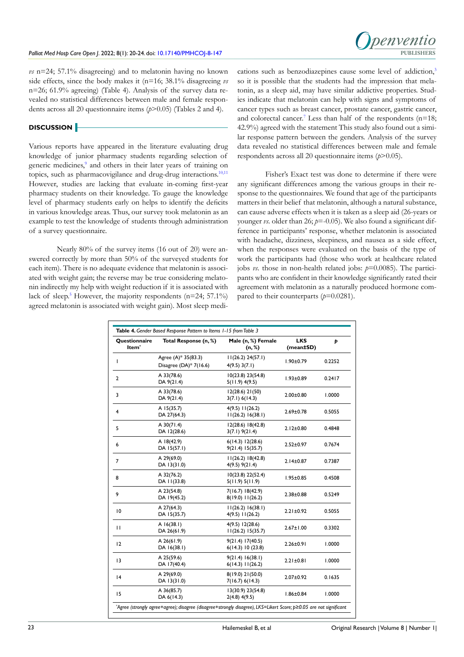

*vs* n=24; 57.1% disagreeing) and to melatonin having no known side effects, since the body makes it (n=16; 38.1% disagreeing *vs* n=26; 61.9% agreeing) (Table 4). Analysis of the survey data revealed no statistical differences between male and female respondents across all 20 questionnaire items (*p*>0.05) (Tables 2 and 4).

# **DISCUSSION**

Various reports have appeared in the literature evaluating drug knowledge of junior pharmacy students regarding selection of generic medicines,<sup>[9](#page-4-8)</sup> and others in their later years of training on topics, such as pharmacovigilance and drug-drug interactions.<sup>10,11</sup> However, studies are lacking that evaluate in-coming first-year pharmacy students on their knowledge. To gauge the knowledge level of pharmacy students early on helps to identify the deficits in various knowledge areas. Thus, our survey took melatonin as an example to test the knowledge of students through administration of a survey questionnaire.

Nearly 80% of the survey items (16 out of 20) were answered correctly by more than 50% of the surveyed students for each item). There is no adequate evidence that melatonin is associated with weight gain; the reverse may be true considering melatonin indirectly my help with weight reduction if it is associated with lack of sleep.<sup>5</sup> However, the majority respondents (n=24; 57.1%) agreed melatonin is associated with weight gain). Most sleep medications such as benzodiazepines cause some level of addiction,<sup>[3](#page-4-2)</sup> so it is possible that the students had the impression that melatonin, as a sleep aid, may have similar addictive properties. Studies indicate that melatonin can help with signs and symptoms of cancer types such as breast cancer, prostate cancer, gastric cancer, and colorectal cancer.<sup>[7](#page-4-6)</sup> Less than half of the respondents ( $n=18$ ; 42.9%) agreed with the statement This study also found out a similar response pattern between the genders. Analysis of the survey data revealed no statistical differences between male and female respondents across all 20 questionnaire items (*p*>0.05).

Fisher's Exact test was done to determine if there were any significant differences among the various groups in their response to the questionnaires. We found that age of the participants matters in their belief that melatonin, although a natural substance, can cause adverse effects when it is taken as a sleep aid (26-years or younger *vs*. older than 26; *p*=-0.05). We also found a significant difference in participants' response, whether melatonin is associated with headache, dizziness, sleepiness, and nausea as a side effect, when the responses were evaluated on the basis of the type of work the participants had (those who work at healthcare related jobs *vs*. those in non-health related jobs: *p*=0.0085). The participants who are confident in their knowledge significantly rated their agreement with melatonin as a naturally produced hormone compared to their counterparts  $(p=0.0281)$ .

| Questionnaire<br>Item <sup>*</sup>                              | Total Response (n, %)       | Male (n, %) Female<br>(n, %)             | <b>LKS</b><br>(mean±SD) | Þ      |  |
|-----------------------------------------------------------------|-----------------------------|------------------------------------------|-------------------------|--------|--|
| Agree (A)* 35(83.3)<br>$\overline{1}$<br>Disagree (DA)* 7(16.6) |                             | 11(26.2) 24(57.1)<br>$4(9.5)$ 3(7.1)     | $1.90 \pm 0.79$         | 0.2252 |  |
| $\overline{2}$                                                  | A 33(78.6)<br>DA 9(21.4)    | 10(23.8) 23(54.8)<br>$5(11.9)$ 4(9.5)    | $1.93 \pm 0.89$         | 0.2417 |  |
| 3                                                               | A 33(78.6)<br>DA 9(21.4)    | $12(28.6)$ 21(50)<br>3(7.1) 6(14.3)      | $2.00 \pm 0.80$         | 1.0000 |  |
| 4                                                               | A 15(35.7)<br>DA 27(64.3)   | $4(9.5)$ $11(26.2)$<br>11(26.2) 16(38.1) | $2.69 \pm 0.78$         | 0.5055 |  |
| 5                                                               | $A$ 30(71.4)<br>DA 12(28.6) | 12(28.6) 18(42.8)<br>$3(7.1)$ 9(21.4)    | $2.12 \pm 0.80$         | 0.4848 |  |
| 6                                                               | A 18(42.9)<br>DA 15(57.1)   | 6(14.3) 12(28.6)<br>9(21.4) 15(35.7)     | $2.52 \pm 0.97$         | 0.7674 |  |
| $\overline{7}$                                                  | A 29(69.0)<br>DA 13(31.0)   | 11(26.2) 18(42.8)<br>$4(9.5)$ 9(21.4)    | $2.14 \pm 0.87$         | 0.7387 |  |
| 8                                                               | A 32(76.2)<br>DA 11(33.8)   | 10(23.8) 22(52.4)<br>5(11.9) 5(11.9)     | $1.95 \pm 0.85$         | 0.4508 |  |
| 9                                                               | A 23(54.8)<br>DA 19(45.2)   | 7(16.7) 18(42.9)<br>$8(19.0)$ $11(26.2)$ | $2.38 \pm 0.88$         | 0.5249 |  |
| $\overline{10}$                                                 | A 27(64.3)<br>DA 15(35.7)   | 11(26.2) 16(38.1)<br>$4(9.5)$ $11(26.2)$ | $2.21 \pm 0.92$         | 0.5055 |  |
| $\mathbf{H}$                                                    | $A$ 16(38.1)<br>DA 26(61.9) | 4(9.5) 12(28.6)<br>11(26.2) 15(35.7)     | $2.67 \pm 1.00$         | 0.3302 |  |
| 12                                                              | $A$ 26(61.9)<br>DA 16(38.1) | 9(21.4) 17(40.5)<br>6(14.3) 10(23.8)     | $2.26 \pm 0.91$         | 1.0000 |  |
| 13                                                              | A 25(59.6)<br>DA 17(40.4)   | 9(21.4) 16(38.1)<br>$6(14.3)$ $11(26.2)$ | $2.21 \pm 0.81$         | 1.0000 |  |
| 4                                                               | A 29(69.0)<br>DA 13(31.0)   | 8(19.0) 21(50.0)<br>7(16.7) 6(14.3)      | $2.07 \pm 0.92$         | 0.1635 |  |
| 15                                                              | A 36(85.7)<br>DA 6(14.3)    | 13(30.9) 23(54.8)<br>$2(4.8)$ 4(9.5)     | $1.86 \pm 0.84$         | 1.0000 |  |